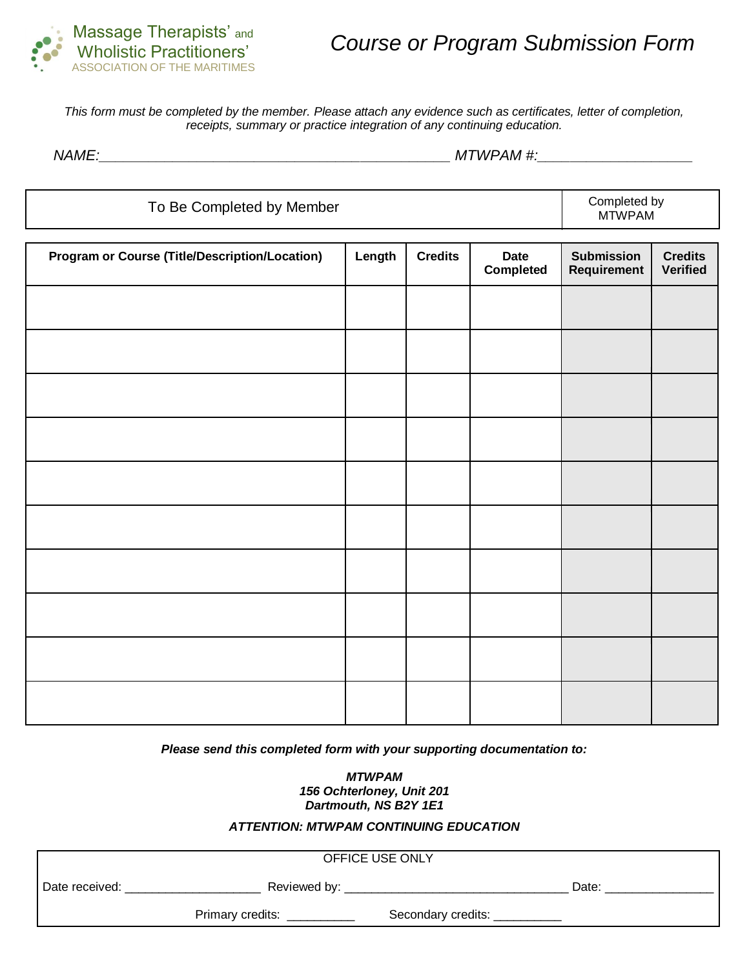

*This form must be completed by the member. Please attach any evidence such as certificates, letter of completion, receipts, summary or practice integration of any continuing education.*

*NAME:\_\_\_\_\_\_\_\_\_\_\_\_\_\_\_\_\_\_\_\_\_\_\_\_\_\_\_\_\_\_\_\_\_\_\_\_\_\_\_\_\_\_\_ MTWPAM #:\_\_\_\_\_\_\_\_\_\_\_\_\_\_\_\_\_\_\_*

| To Be Completed by Member                             |        |                |                          |                                  | Completed by<br>MTWPAM            |
|-------------------------------------------------------|--------|----------------|--------------------------|----------------------------------|-----------------------------------|
| <b>Program or Course (Title/Description/Location)</b> | Length | <b>Credits</b> | <b>Date</b><br>Completed | <b>Submission</b><br>Requirement | <b>Credits</b><br><b>Verified</b> |
|                                                       |        |                |                          |                                  |                                   |
|                                                       |        |                |                          |                                  |                                   |
|                                                       |        |                |                          |                                  |                                   |
|                                                       |        |                |                          |                                  |                                   |
|                                                       |        |                |                          |                                  |                                   |
|                                                       |        |                |                          |                                  |                                   |
|                                                       |        |                |                          |                                  |                                   |
|                                                       |        |                |                          |                                  |                                   |
|                                                       |        |                |                          |                                  |                                   |
|                                                       |        |                |                          |                                  |                                   |

*Please send this completed form with your supporting documentation to:*

*MTWPAM 156 Ochterloney, Unit 201 Dartmouth, NS B2Y 1E1*

## *ATTENTION: MTWPAM CONTINUING EDUCATION*

|                  | OFFICE USE ONLY    |       |
|------------------|--------------------|-------|
| Reviewed by:     |                    | Date: |
| Primary credits: | Secondary credits: |       |
|                  |                    |       |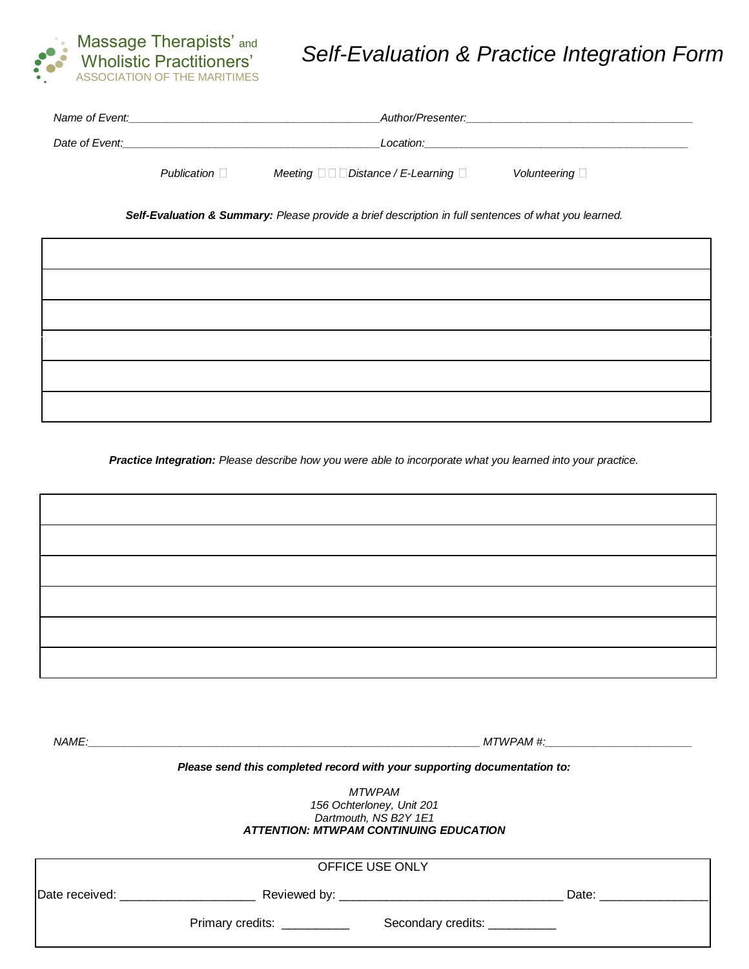

# *Self-Evaluation & Practice Integration Form*

| Name of Event: |                    | Author/Presenter:                                  |                     |
|----------------|--------------------|----------------------------------------------------|---------------------|
| Date of Event: |                    | Location:                                          |                     |
|                | Publication $\Box$ | Meeting $\Box$ $\Box$ Distance / E-Learning $\Box$ | Volunteering $\Box$ |

*Self-Evaluation & Summary: Please provide a brief description in full sentences of what you learned.*

*Practice Integration: Please describe how you were able to incorporate what you learned into your practice.*

*NAME:\_\_\_\_\_\_\_\_\_\_\_\_\_\_\_\_\_\_\_\_\_\_\_\_\_\_\_\_\_\_\_\_\_\_\_\_\_\_\_\_\_\_\_\_\_\_\_\_\_\_\_\_\_\_\_\_\_\_\_\_\_\_\_\_ MTWPAM #:\_\_\_\_\_\_\_\_\_\_\_\_\_\_\_\_\_\_\_\_\_\_\_\_*

#### *Please send this completed record with your supporting documentation to:*

*MTWPAM 156 Ochterloney, Unit 201 Dartmouth, NS B2Y 1E1 ATTENTION: MTWPAM CONTINUING EDUCATION*

|                |                  | OFFICE USE ONLY               |       |
|----------------|------------------|-------------------------------|-------|
| Date received: |                  |                               | Date: |
|                | Primary credits: | Secondary credits: __________ |       |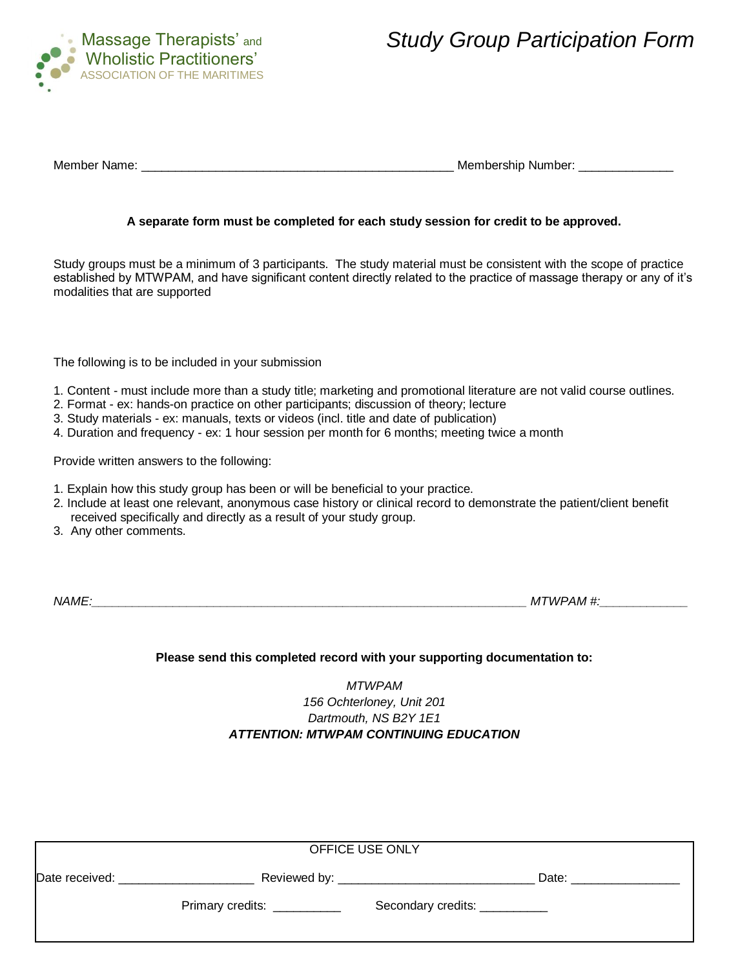

*Study Group Participation Form*

| Member Name:<br>Membership Number: |
|------------------------------------|
|------------------------------------|

### **A separate form must be completed for each study session for credit to be approved.**

Study groups must be a minimum of 3 participants. The study material must be consistent with the scope of practice established by MTWPAM, and have significant content directly related to the practice of massage therapy or any of it's modalities that are supported

The following is to be included in your submission

- 1. Content must include more than a study title; marketing and promotional literature are not valid course outlines.
- 2. Format ex: hands-on practice on other participants; discussion of theory; lecture
- 3. Study materials ex: manuals, texts or videos (incl. title and date of publication)
- 4. Duration and frequency ex: 1 hour session per month for 6 months; meeting twice a month

Provide written answers to the following:

- 1. Explain how this study group has been or will be beneficial to your practice.
- 2. Include at least one relevant, anonymous case history or clinical record to demonstrate the patient/client benefit received specifically and directly as a result of your study group.
- 3. Any other comments.

*NAME:\_\_\_\_\_\_\_\_\_\_\_\_\_\_\_\_\_\_\_\_\_\_\_\_\_\_\_\_\_\_\_\_\_\_\_\_\_\_\_\_\_\_\_\_\_\_\_\_\_\_\_\_\_\_\_\_\_\_\_\_\_\_\_\_ MTWPAM #:\_\_\_\_\_\_\_\_\_\_\_\_\_*

#### **Please send this completed record with your supporting documentation to:**

# *MTWPAM 156 Ochterloney, Unit 201 Dartmouth, NS B2Y 1E1 ATTENTION: MTWPAM CONTINUING EDUCATION*

|                |                              | OFFICE USE ONLY               |       |  |
|----------------|------------------------------|-------------------------------|-------|--|
| Date received: |                              |                               | Date: |  |
|                | Primary credits: ___________ | Secondary credits: __________ |       |  |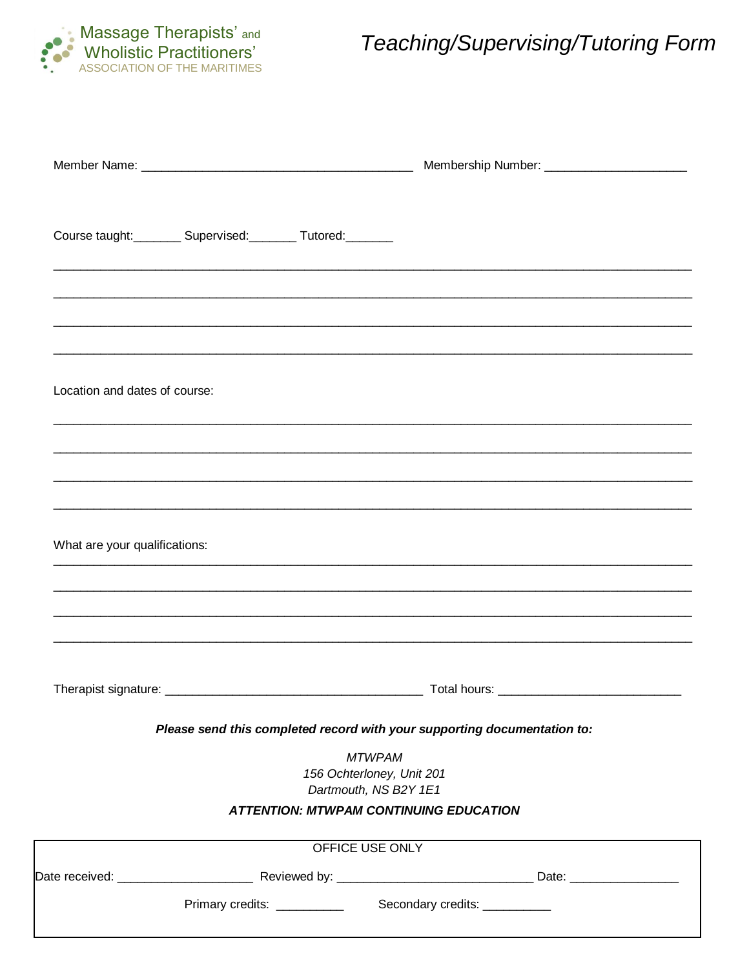

# Teaching/Supervising/Tutoring Form

|                                                                   |                                                                     | Membership Number: _________________________                             |  |
|-------------------------------------------------------------------|---------------------------------------------------------------------|--------------------------------------------------------------------------|--|
| Course taught:___________ Supervised:__________ Tutored:_________ |                                                                     |                                                                          |  |
|                                                                   |                                                                     |                                                                          |  |
|                                                                   |                                                                     |                                                                          |  |
| Location and dates of course:                                     |                                                                     |                                                                          |  |
|                                                                   |                                                                     |                                                                          |  |
|                                                                   |                                                                     |                                                                          |  |
|                                                                   |                                                                     |                                                                          |  |
|                                                                   |                                                                     |                                                                          |  |
|                                                                   |                                                                     |                                                                          |  |
| What are your qualifications:                                     |                                                                     |                                                                          |  |
|                                                                   |                                                                     | Total hours:                                                             |  |
|                                                                   |                                                                     | Please send this completed record with your supporting documentation to: |  |
|                                                                   | <b>MTWPAM</b><br>156 Ochterloney, Unit 201<br>Dartmouth, NS B2Y 1E1 |                                                                          |  |
|                                                                   |                                                                     | <b>ATTENTION: MTWPAM CONTINUING EDUCATION</b>                            |  |
| Therapist signature:                                              | OFFICE USE ONLY                                                     |                                                                          |  |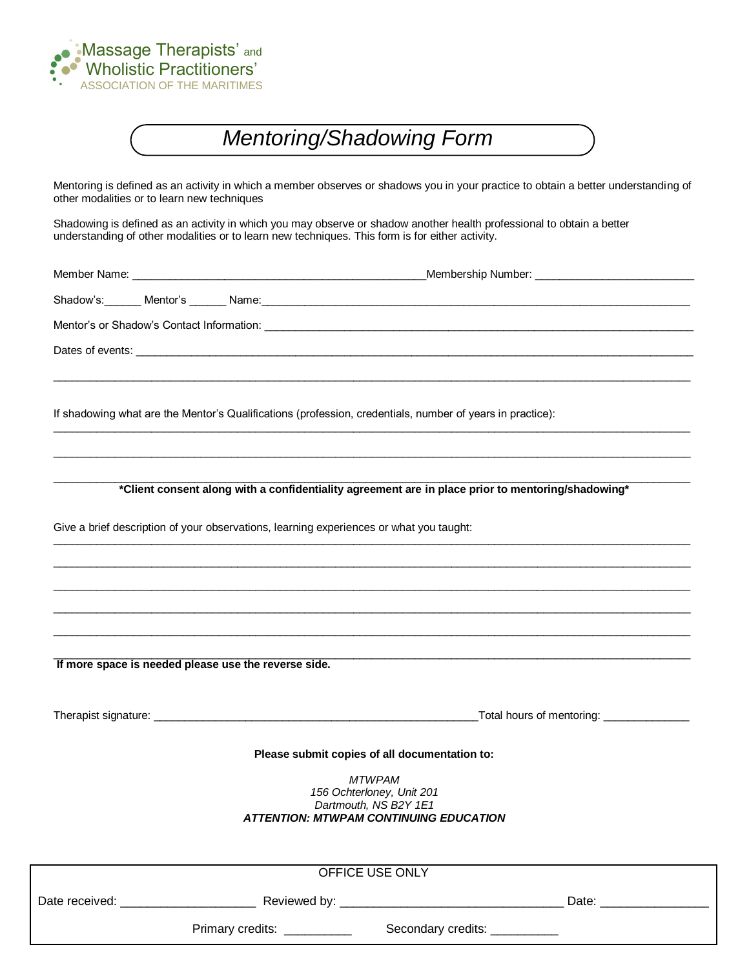

# *Mentoring/Shadowing Form*

Mentoring is defined as an activity in which a member observes or shadows you in your practice to obtain a better understanding of other modalities or to learn new techniques

Shadowing is defined as an activity in which you may observe or shadow another health professional to obtain a better understanding of other modalities or to learn new techniques. This form is for either activity.

|  | If shadowing what are the Mentor's Qualifications (profession, credentials, number of years in practice):            |                                                                                                   |
|--|----------------------------------------------------------------------------------------------------------------------|---------------------------------------------------------------------------------------------------|
|  |                                                                                                                      | *Client consent along with a confidentiality agreement are in place prior to mentoring/shadowing* |
|  | Give a brief description of your observations, learning experiences or what you taught:                              |                                                                                                   |
|  |                                                                                                                      |                                                                                                   |
|  |                                                                                                                      |                                                                                                   |
|  | If more space is needed please use the reverse side.                                                                 |                                                                                                   |
|  |                                                                                                                      |                                                                                                   |
|  | Please submit copies of all documentation to:                                                                        |                                                                                                   |
|  | <b>MTWPAM</b><br>156 Ochterloney, Unit 201<br>Dartmouth, NS B2Y 1E1<br><b>ATTENTION: MTWPAM CONTINUING EDUCATION</b> |                                                                                                   |
|  | OFFICE USE ONLY                                                                                                      |                                                                                                   |
|  |                                                                                                                      |                                                                                                   |

Primary credits: \_\_\_\_\_\_\_\_\_\_\_\_\_ Secondary credits: